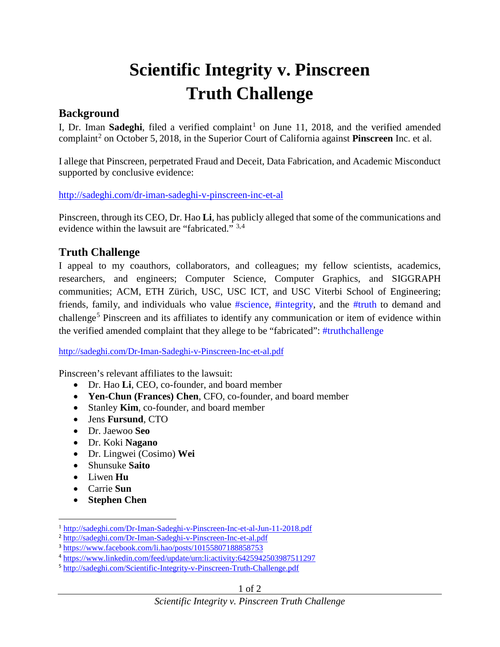## **Scientific Integrity v. Pinscreen Truth Challenge**

## **Background**

I, Dr. Iman Sadeghi, filed a verified complaint<sup>[1](#page-0-0)</sup> on June 11, 2018, and the verified amended complaint<sup>[2](#page-0-1)</sup> on October 5, 2018, in the Superior Court of California against **Pinscreen** Inc. et al.

I allege that Pinscreen, perpetrated Fraud and Deceit, Data Fabrication, and Academic Misconduct supported by conclusive evidence:

<http://sadeghi.com/dr-iman-sadeghi-v-pinscreen-inc-et-al>

Pinscreen, through its CEO, Dr. Hao **Li**, has publicly alleged that some of the communications and evidence within the lawsuit are "fabricated." [3](#page-0-2),[4](#page-0-3)

## **Truth Challenge**

I appeal to my coauthors, collaborators, and colleagues; my fellow scientists, academics, researchers, and engineers; Computer Science, Computer Graphics, and SIGGRAPH communities; ACM, ETH Zürich, USC, USC ICT, and USC Viterbi School of Engineering; friends, family, and individuals who value #science, #integrity, and the #truth to demand and challenge<sup>[5](#page-0-4)</sup> Pinscreen and its affiliates to identify any communication or item of evidence within the verified amended complaint that they allege to be "fabricated": #truthchallenge

<http://sadeghi.com/Dr-Iman-Sadeghi-v-Pinscreen-Inc-et-al.pdf>

Pinscreen's relevant affiliates to the lawsuit:

- Dr. Hao **Li**, CEO, co-founder, and board member
- **Yen-Chun (Frances) Chen**, CFO, co-founder, and board member
- Stanley **Kim**, co-founder, and board member
- Jens **Fursund**, CTO
- Dr. Jaewoo **Seo**
- Dr. Koki **Nagano**
- Dr. Lingwei (Cosimo) **Wei**
- Shunsuke **Saito**
- Liwen **Hu**
- Carrie **Sun**

 $\overline{a}$ 

• **Stephen Chen** 

<span id="page-0-0"></span><sup>1</sup> <http://sadeghi.com/Dr-Iman-Sadeghi-v-Pinscreen-Inc-et-al-Jun-11-2018.pdf>

<span id="page-0-1"></span><sup>2</sup> <http://sadeghi.com/Dr-Iman-Sadeghi-v-Pinscreen-Inc-et-al.pdf>

<span id="page-0-2"></span><sup>3</sup> <https://www.facebook.com/li.hao/posts/10155807188858753>

<span id="page-0-3"></span><sup>4</sup> <https://www.linkedin.com/feed/update/urn:li:activity:6425942503987511297>

<span id="page-0-4"></span><sup>5</sup> <http://sadeghi.com/Scientific-Integrity-v-Pinscreen-Truth-Challenge.pdf>